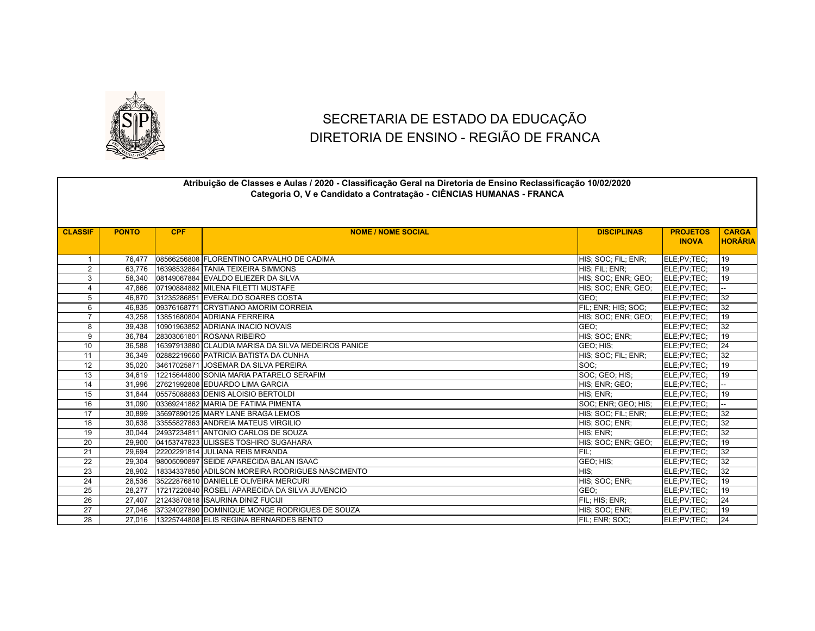

## SECRETARIA DE ESTADO DA EDUCAÇÃO DIRETORIA DE ENSINO - REGIÃO DE FRANCA

|                 |              |            | Atribuição de Classes e Aulas / 2020 - Classificação Geral na Diretoria de Ensino Reclassificação 10/02/2020<br>Categoria O, V e Candidato a Contratação - CIÊNCIAS HUMANAS - FRANCA |                     |                                 |                                |
|-----------------|--------------|------------|--------------------------------------------------------------------------------------------------------------------------------------------------------------------------------------|---------------------|---------------------------------|--------------------------------|
| <b>CLASSIF</b>  | <b>PONTO</b> | <b>CPF</b> | <b>NOME / NOME SOCIAL</b>                                                                                                                                                            | <b>DISCIPLINAS</b>  | <b>PROJETOS</b><br><b>INOVA</b> | <b>CARGA</b><br><b>HORÁRIA</b> |
| $\mathbf{1}$    | 76.477       |            | 08566256808 FLORENTINO CARVALHO DE CADIMA                                                                                                                                            | HIS; SOC; FIL; ENR; | ELE:PV:TEC:                     | 19                             |
| $\overline{2}$  | 63.776       |            | 16398532864 TANIA TEIXEIRA SIMMONS                                                                                                                                                   | HIS: FIL: ENR:      | ELE:PV:TEC:                     | 19                             |
| 3               | 58,340       |            | 08149067884 EVALDO ELIEZER DA SILVA                                                                                                                                                  | HIS; SOC; ENR; GEO; | ELE:PV:TEC:                     | 19                             |
| $\overline{4}$  | 47.866       |            | 07190884882 MILENA FILETTI MUSTAFE                                                                                                                                                   | HIS; SOC; ENR; GEO; | ELE;PV;TEC;                     |                                |
| 5               | 46,870       |            | 31235286851 EVERALDO SOARES COSTA                                                                                                                                                    | GEO:                | ELE;PV;TEC;                     | 32                             |
| 6               | 46.835       |            | 09376168771 CRYSTIANO AMORIM CORREIA                                                                                                                                                 | FIL; ENR; HIS; SOC; | ELE;PV;TEC;                     | 32                             |
| $\overline{7}$  | 43,258       |            | 13851680804 ADRIANA FERREIRA                                                                                                                                                         | HIS; SOC; ENR; GEO; | ELE;PV;TEC;                     | 19                             |
| 8               | 39,438       |            | 10901963852 ADRIANA INACIO NOVAIS                                                                                                                                                    | GEO:                | ELE;PV;TEC;                     | 32                             |
| 9               | 36.784       |            | 28303061801 ROSANA RIBEIRO                                                                                                                                                           | HIS; SOC; ENR;      | ELE;PV;TEC;                     | $\overline{19}$                |
| 10              | 36,588       |            | 16397913880 CLAUDIA MARISA DA SILVA MEDEIROS PANICE                                                                                                                                  | GEO; HIS;           | ELE;PV;TEC;                     | 24                             |
| 11              | 36.349       |            | 02882219660 PATRICIA BATISTA DA CUNHA                                                                                                                                                | HIS; SOC; FIL; ENR; | ELE:PV:TEC:                     | 32                             |
| 12              | 35,020       |            | 34617025871 JOSEMAR DA SILVA PEREIRA                                                                                                                                                 | SOC:                | ELE:PV:TEC:                     | 19                             |
| 13              | 34,619       |            | 12215644800 SONIA MARIA PATARELO SERAFIM                                                                                                                                             | SOC; GEO; HIS;      | ELE;PV;TEC;                     | 19                             |
| $\overline{14}$ | 31,996       |            | 27621992808 EDUARDO LIMA GARCIA                                                                                                                                                      | HIS: ENR: GEO:      | ELE:PV:TEC:                     |                                |
| 15              | 31,844       |            | 05575088863 DENIS ALOISIO BERTOLDI                                                                                                                                                   | HIS; ENR;           | ELE;PV;TEC;                     | 19                             |
| 16              | 31.090       |            | 03369241862 MARIA DE FATIMA PIMENTA                                                                                                                                                  | SOC; ENR; GEO; HIS; | ELE;PV;TEC;                     |                                |
| 17              | 30,899       |            | 35697890125 MARY LANE BRAGA LEMOS                                                                                                                                                    | HIS: SOC: FIL: ENR: | ELE;PV;TEC;                     | 32                             |
| 18              | 30,638       |            | 33555827863 ANDREIA MATEUS VIRGILIO                                                                                                                                                  | HIS; SOC; ENR;      | ELE;PV;TEC;                     | 32                             |
| 19              | 30,044       |            | 24937234811 ANTONIO CARLOS DE SOUZA                                                                                                                                                  | HIS; ENR;           | ELE;PV;TEC;                     | 32                             |
| 20              | 29.900       |            | 04153747823 ULISSES TOSHIRO SUGAHARA                                                                                                                                                 | HIS; SOC; ENR; GEO; | ELE;PV;TEC;                     | 19                             |
| 21              | 29.694       |            | 22202291814 JULIANA REIS MIRANDA                                                                                                                                                     | FIL:                | ELE;PV;TEC;                     | 32                             |
| 22              | 29,304       |            | 98005090897 SEIDE APARECIDA BALAN ISAAC                                                                                                                                              | GEO: HIS:           | ELE:PV:TEC:                     | 32                             |
| 23              | 28,902       |            | 18334337850 ADILSON MOREIRA RODRIGUES NASCIMENTO                                                                                                                                     | HIS:                | ELE:PV:TEC:                     | 32                             |
| 24              | 28,536       |            | 35222876810 DANIELLE OLIVEIRA MERCURI                                                                                                                                                | HIS; SOC; ENR;      | ELE;PV;TEC;                     | 19                             |
| 25              | 28,277       |            | 17217220840 ROSELI APARECIDA DA SILVA JUVENCIO                                                                                                                                       | GEO:                | ELE;PV;TEC;                     | 19                             |
| 26              | 27.407       |            | 21243870818 ISAURINA DINIZ FUCIJI                                                                                                                                                    | FIL; HIS; ENR;      | ELE;PV;TEC;                     | 24                             |
| 27              | 27.046       |            | 37324027890 DOMINIQUE MONGE RODRIGUES DE SOUZA                                                                                                                                       | HIS: SOC: ENR:      | ELE:PV:TEC:                     | 19                             |
| 28              | 27.016       |            | 13225744808 ELIS REGINA BERNARDES BENTO                                                                                                                                              | FIL: ENR: SOC:      | ELE;PV;TEC;                     | 24                             |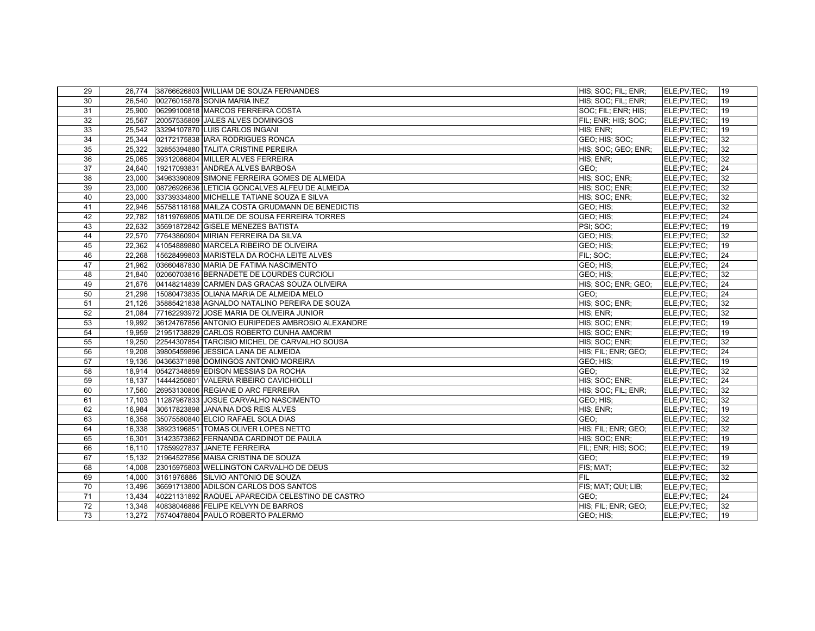| 29              |        | 26,774 38766626803 WILLIAM DE SOUZA FERNANDES    | HIS; SOC; FIL; ENR; | ELE:PV:TEC:         | 19 |
|-----------------|--------|--------------------------------------------------|---------------------|---------------------|----|
| 30              | 26,540 | 00276015878 SONIA MARIA INEZ                     | HIS; SOC; FIL; ENR; | ELE;PV;TEC;         | 19 |
| 31              | 25,900 | 06299100818 MARCOS FERREIRA COSTA                | SOC; FIL; ENR; HIS; | ELE;PV;TEC;         | 19 |
| 32              |        | 25,567 20057535809 JALES ALVES DOMINGOS          | FIL; ENR; HIS; SOC; | ELE;PV;TEC;         | 19 |
| 33              | 25,542 | 33294107870 LUIS CARLOS INGANI                   | HIS: ENR:           | ELE:PV:TEC:         | 19 |
| 34              |        | 25,344 02172175838 IARA RODRIGUES RONCA          | GEO; HIS; SOC;      | ELE;PV;TEC;         | 32 |
| 35              | 25.322 | 32855394880 TALITA CRISTINE PEREIRA              | HIS; SOC; GEO; ENR; | ELE;PV;TEC;         | 32 |
| 36              | 25,065 | 39312086804 MILLER ALVES FERREIRA                | HIS; ENR;           | ELE:PV:TEC:         | 32 |
| 37              | 24,640 | 19217093831 ANDREA ALVES BARBOSA                 | GEO:                | ELE;PV;TEC;         | 24 |
| 38              | 23,000 | 34963390809 SIMONE FERREIRA GOMES DE ALMEIDA     | HIS; SOC; ENR;      | ELE:PV:TEC:         | 32 |
| 39              | 23,000 | 08726926636 LETICIA GONCALVES ALFEU DE ALMEIDA   | HIS; SOC; ENR;      | ELE;PV;TEC;         | 32 |
| 40              | 23,000 | 33739334800 MICHELLE TATIANE SOUZA E SILVA       | HIS; SOC; ENR;      | ELE;PV;TEC;         | 32 |
| 41              | 22,946 | 55758118168 MAILZA COSTA GRUDMANN DE BENEDICTIS  | GEO; HIS;           | ELE:PV:TEC:         | 32 |
| 42              | 22,782 | 18119769805 MATILDE DE SOUSA FERREIRA TORRES     | GEO; HIS;           | ELE:PV:TEC:         | 24 |
| 43              |        | 22,632 35691872842 GISELE MENEZES BATISTA        | PSI; SOC;           | ELE;PV;TEC;         | 19 |
| 44              | 22,570 | 77643860904 MIRIAN FERREIRA DA SILVA             | GEO; HIS;           | ELE:PV:TEC:         | 32 |
| 45              | 22,362 | 41054889880 MARCELA RIBEIRO DE OLIVEIRA          | GEO; HIS;           | ELE:PV:TEC:         | 19 |
| 46              | 22,268 | 15628499803 MARISTELA DA ROCHA LEITE ALVES       | FIL: SOC:           | ELE:PV:TEC:         | 24 |
| 47              | 21,962 | 03660487830 MARIA DE FATIMA NASCIMENTO           | GEO; HIS;           | ELE:PV:TEC:         | 24 |
| 48              | 21,840 | 02060703816 BERNADETE DE LOURDES CURCIOLI        | GEO; HIS;           | ELE:PV:TEC:         | 32 |
| 49              | 21,676 | 04148214839 CARMEN DAS GRACAS SOUZA OLIVEIRA     | HIS; SOC; ENR; GEO; | ELE;PV;TEC;         | 24 |
| 50              | 21,298 | 15080473835 OLIANA MARIA DE ALMEIDA MELO         | GEO:                | ELE:PV:TEC:         | 24 |
| 51              | 21,126 | 35885421838 AGNALDO NATALINO PEREIRA DE SOUZA    | HIS: SOC: ENR:      | ELE:PV:TEC:         | 32 |
| 52              |        | 21,084 77162293972 JOSE MARIA DE OLIVEIRA JUNIOR | HIS; ENR;           | ELE;PV;TEC;         | 32 |
| 53              | 19,992 | 36124767856 ANTONIO EURIPEDES AMBROSIO ALEXANDRE | HIS; SOC; ENR;      | ELE;PV;TEC;         | 19 |
| 54              | 19,959 | 21951738829 CARLOS ROBERTO CUNHA AMORIM          | HIS: SOC: ENR:      | ELE:PV:TEC:         | 19 |
| 55              | 19,250 | 22544307854 TARCISIO MICHEL DE CARVALHO SOUSA    | HIS; SOC; ENR;      | ELE;PV;TEC;         | 32 |
| 56              | 19.208 | 39805459896 JESSICA LANA DE ALMEIDA              | HIS; FIL; ENR; GEO; | <b>IELE:PV:TEC:</b> | 24 |
| 57              | 19,136 | 04366371898 DOMINGOS ANTONIO MOREIRA             | GEO; HIS;           | ELE;PV;TEC;         | 19 |
| 58              |        | 18,914 05427348859 EDISON MESSIAS DA ROCHA       | GEO:                | ELE;PV;TEC;         | 32 |
| 59              | 18.137 | 14444250801 VALERIA RIBEIRO CAVICHIOLLI          | HIS; SOC; ENR;      | ELE:PV:TEC:         | 24 |
| 60              | 17,560 | 26953130806 REGIANE D ARC FERREIRA               | HIS; SOC; FIL; ENR; | ELE;PV;TEC;         | 32 |
| 61              |        | 17,103 11287967833 JOSUE CARVALHO NASCIMENTO     | GEO; HIS;           | ELE;PV;TEC;         | 32 |
| 62              | 16,984 | 30617823898 JJANAINA DOS REIS ALVES              | HIS; ENR;           | ELE:PV:TEC:         | 19 |
| 63              | 16,358 | 35075580840 ELCIO RAFAEL SOLA DIAS               | GEO:                | ELE;PV;TEC;         | 32 |
| 64              | 16,338 | 38923196851 TOMAS OLIVER LOPES NETTO             | HIS; FIL; ENR; GEO; | ELE:PV:TEC:         | 32 |
| 65              | 16.301 | 31423573862 FERNANDA CARDINOT DE PAULA           | HIS; SOC; ENR;      | ELE:PV:TEC:         | 19 |
| 66              | 16,110 | 17859927837 JANETE FERREIRA                      | FIL; ENR; HIS; SOC; | ELE;PV;TEC;         | 19 |
| 67              |        | 15,132 21964527856 MAISA CRISTINA DE SOUZA       | GEO:                | ELE:PV:TEC:         | 19 |
| 68              | 14.008 | 23015975803 WELLINGTON CARVALHO DE DEUS          | FIS; MAT;           | ELE:PV:TEC:         | 32 |
| 69              | 14,000 | 3161976886 SILVIO ANTONIO DE SOUZA               | FIL                 | ELE;PV;TEC;         | 32 |
| $\overline{70}$ | 13,496 | 36691713800 ADILSON CARLOS DOS SANTOS            | FIS; MAT; QUI; LIB; | ELE;PV;TEC;         |    |
| 71              | 13,434 | 40221131892 RAQUEL APARECIDA CELESTINO DE CASTRO | GEO:                | ELE;PV;TEC;         | 24 |
| 72              | 13,348 | 40838046886 FELIPE KELVYN DE BARROS              | HIS; FIL; ENR; GEO; | ELE:PV:TEC:         | 32 |
| 73              |        | 13,272 75740478804 PAULO ROBERTO PALERMO         | GEO; HIS;           | ELE;PV;TEC;         | 19 |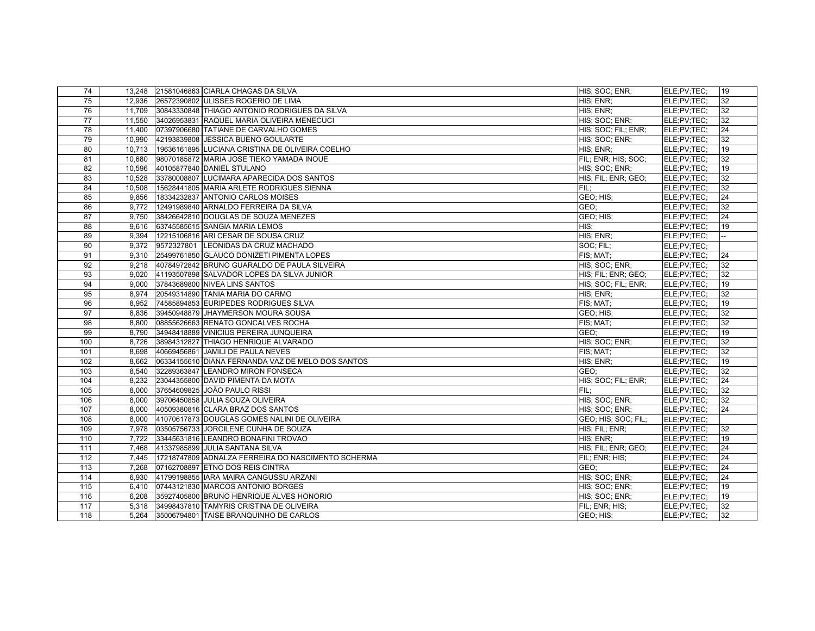| 74              |        | 13,248 21581046863 CIARLA CHAGAS DA SILVA          | HIS; SOC; ENR;      | ELE:PV:TEC: | 19 |
|-----------------|--------|----------------------------------------------------|---------------------|-------------|----|
| 75              | 12,936 | 26572390802 ULISSES ROGERIO DE LIMA                | HIS; ENR;           | ELE:PV:TEC: | 32 |
| 76              | 11,709 | 30843330848 THIAGO ANTONIO RODRIGUES DA SILVA      | HIS; ENR;           | ELE;PV;TEC; | 32 |
| $\overline{77}$ | 11.550 | 34026953831 RAQUEL MARIA OLIVEIRA MENECUCI         | HIS; SOC; ENR;      | ELE:PV:TEC: | 32 |
| 78              | 11,400 | 07397906680 TATIANE DE CARVALHO GOMES              | HIS; SOC; FIL; ENR; | ELE;PV;TEC; | 24 |
| 79              | 10,990 | 42193839808 JESSICA BUENO GOULARTE                 | HIS: SOC: ENR;      | ELE;PV;TEC; | 32 |
| 80              | 10,713 | 19636161895 LUCIANA CRISTINA DE OLIVEIRA COELHO    | HIS; ENR;           | ELE:PV:TEC: | 19 |
| 81              | 10,680 | 98070185872 MARIA JOSE TIEKO YAMADA INOUE          | FIL; ENR; HIS; SOC; | ELE;PV;TEC; | 32 |
| 82              | 10,596 | 40105877840 DANIEL STULANO                         | HIS; SOC; ENR;      | ELE:PV:TEC: | 19 |
| 83              | 10,528 | 33780008807 LUCIMARA APARECIDA DOS SANTOS          | HIS; FIL; ENR; GEO; | ELE;PV;TEC; | 32 |
| 84              | 10,508 | 15628441805 MARIA ARLETE RODRIGUES SIENNA          | FIL:                | ELE;PV;TEC; | 32 |
| 85              | 9,856  | 18334232837 ANTONIO CARLOS MOISES                  | GEO; HIS;           | ELE:PV:TEC: | 24 |
| 86              | 9,772  | 12491989840 ARNALDO FERREIRA DA SILVA              | GEO:                | ELE:PV:TEC: | 32 |
| 87              | 9,750  | 38426642810 DOUGLAS DE SOUZA MENEZES               | GEO; HIS;           | ELE;PV;TEC; | 24 |
| 88              | 9.616  | 63745585615 SANGIA MARIA LEMOS                     | HIS:                | ELE;PV;TEC; | 19 |
| 89              |        | 9,394 12215106816 ARI CESAR DE SOUSA CRUZ          | HIS: ENR:           | ELE;PV;TEC; |    |
| 90              |        | 9,372 9572327801 LEONIDAS DA CRUZ MACHADO          | SOC: FIL:           | ELE:PV:TEC: |    |
| 91              |        | 9,310 25499761850 GLAUCO DONIZETI PIMENTA LOPES    | FIS; MAT;           | ELE;PV;TEC; | 24 |
| 92              | 9.218  | 40784972842 BRUNO GUARALDO DE PAULA SILVEIRA       | HIS: SOC: ENR:      | ELE:PV:TEC: | 32 |
| 93              | 9,020  | 41193507898 SALVADOR LOPES DA SILVA JUNIOR         | HIS; FIL; ENR; GEO; | ELE;PV;TEC; | 32 |
| 94              | 9.000  | 37843689800 NIVEA LINS SANTOS                      | HIS; SOC; FIL; ENR; | ELE;PV;TEC; | 19 |
| 95              |        | 8,974 20549314890 TANIA MARIA DO CARMO             | HIS; ENR;           | ELE;PV;TEC; | 32 |
| 96              | 8,952  | 74585894853 EURIPEDES RODRIGUES SILVA              | FIS; MAT;           | ELE;PV;TEC; | 19 |
| 97              | 8.836  | 39450948879 JHAYMERSON MOURA SOUSA                 | GEO; HIS;           | ELE;PV;TEC; | 32 |
| 98              | 8,800  | 08855626663 RENATO GONCALVES ROCHA                 | FIS; MAT;           | ELE;PV;TEC; | 32 |
| 99              | 8.790  | 34948418889 VINICIUS PEREIRA JUNQUEIRA             | GEO:                | ELE;PV;TEC; | 19 |
| 100             | 8,726  | 38984312827 THIAGO HENRIQUE ALVARADO               | HIS; SOC; ENR;      | ELE;PV;TEC; | 32 |
| 101             | 8.698  | 40669456861 JAMILI DE PAULA NEVES                  | FIS: MAT:           | ELE;PV;TEC; | 32 |
| 102             | 8.662  | 06334155610 DIANA FERNANDA VAZ DE MELO DOS SANTOS  | HIS; ENR;           | ELE:PV:TEC: | 19 |
| 103             | 8,540  | 32289363847 LEANDRO MIRON FONSECA                  | GEO:                | ELE;PV;TEC; | 32 |
| 104             | 8.232  | 23044355800 DAVID PIMENTA DA MOTA                  | HIS; SOC; FIL; ENR; | ELE:PV:TEC: | 24 |
| 105             | 8,000  | 37654609825 JOÃO PAULO RISSI                       | FIL:                | ELE;PV;TEC; | 32 |
| 106             | 8,000  | 39706450858 JULIA SOUZA OLIVEIRA                   | HIS; SOC; ENR;      | ELE;PV;TEC; | 32 |
| 107             | 8,000  | 40509380816 CLARA BRAZ DOS SANTOS                  | HIS: SOC: ENR:      | ELE:PV:TEC: | 24 |
| 108             | 8.000  | 41070617873 DOUGLAS GOMES NALINI DE OLIVEIRA       | GEO; HIS; SOC; FIL; | ELE;PV;TEC; |    |
| 109             | 7,978  | 03505756733 JORCILENE CUNHA DE SOUZA               | HIS; FIL; ENR;      | ELE;PV;TEC; | 32 |
| 110             | 7,722  | 33445631816 LEANDRO BONAFINI TROVAO                | HIS: ENR:           | ELE:PV:TEC: | 19 |
| 111             | 7,468  | 41337985899 JJULIA SANTANA SILVA                   | HIS; FIL; ENR; GEO; | ELE;PV;TEC; | 24 |
| 112             | 7,445  | 17218747809 ADNALZA FERREIRA DO NASCIMENTO SCHERMA | FIL; ENR; HIS;      | ELE;PV;TEC; | 24 |
| 113             | 7.268  | 07162708897 ETNO DOS REIS CINTRA                   | GEO:                | ELE;PV;TEC; | 24 |
| 114             | 6.930  | 41799198855 IARA MAIRA CANGUSSU ARZANI             | HIS; SOC; ENR;      | ELE:PV:TEC: | 24 |
| 115             | 6,410  | 07443121830 MARCOS ANTONIO BORGES                  | HIS; SOC; ENR;      | ELE;PV;TEC; | 19 |
| 116             | 6.208  | 35927405800 BRUNO HENRIQUE ALVES HONORIO           | HIS: SOC: ENR:      | ELE;PV;TEC; | 19 |
| 117             |        | 5,318 34998437810 TAMYRIS CRISTINA DE OLIVEIRA     | FIL; ENR; HIS;      | ELE:PV:TEC: | 32 |
| 118             | 5.264  | 35006794801 TAISE BRANQUINHO DE CARLOS             | GEO; HIS;           | ELE;PV;TEC; | 32 |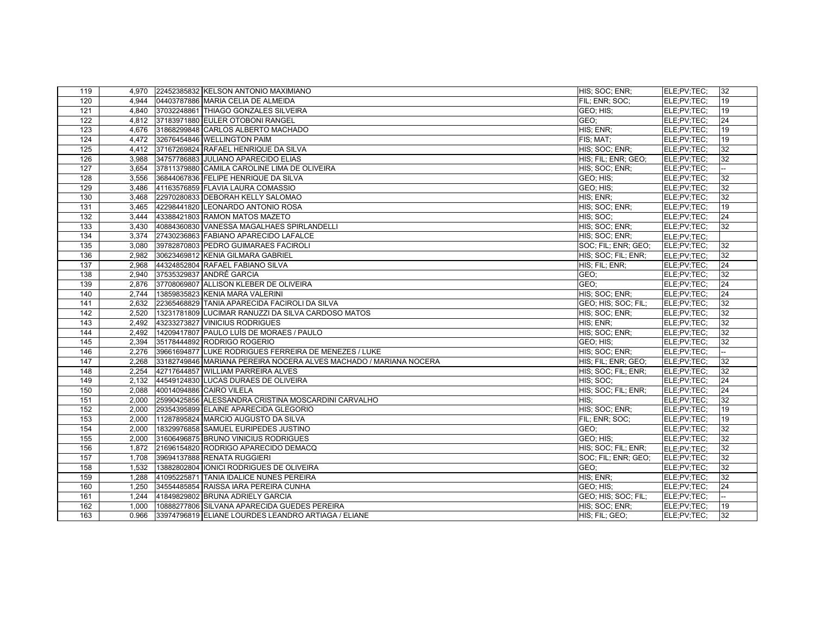| 119 |       | 4,970 22452385832 KELSON ANTONIO MAXIMIANO                        | HIS; SOC; ENR;      | ELE;PV;TEC; | 32 |
|-----|-------|-------------------------------------------------------------------|---------------------|-------------|----|
| 120 | 4.944 | 04403787886 MARIA CELIA DE ALMEIDA                                | FIL: ENR: SOC:      | ELE;PV;TEC; | 19 |
| 121 |       | 4,840 37032248861 THIAGO GONZALES SILVEIRA                        | GEO; HIS;           | ELE:PV:TEC: | 19 |
| 122 |       | 4.812 37183971880 EULER OTOBONI RANGEL                            | GEO:                | ELE;PV;TEC; | 24 |
| 123 |       | 4,676 31868299848 CARLOS ALBERTO MACHADO                          | HIS; ENR;           | ELE:PV:TEC: | 19 |
| 124 |       | 4,472 32676454846 WELLINGTON PAIM                                 | FIS; MAT;           | ELE;PV;TEC; | 19 |
| 125 | 4.412 | 37167269824 RAFAEL HENRIQUE DA SILVA                              | HIS; SOC; ENR;      | ELE:PV:TEC: | 32 |
| 126 | 3,988 | 34757786883 JULIANO APARECIDO ELIAS                               | HIS; FIL; ENR; GEO; | ELE;PV;TEC; | 32 |
| 127 | 3,654 | 37811379880 CAMILA CAROLINE LIMA DE OLIVEIRA                      | HIS; SOC; ENR;      | ELE;PV;TEC; |    |
| 128 | 3.556 | 36844067836 FELIPE HENRIQUE DA SILVA                              | GEO: HIS:           | ELE:PV:TEC: | 32 |
| 129 | 3,486 | 41163576859 FLAVIA LAURA COMASSIO                                 | GEO; HIS;           | ELE;PV;TEC; | 32 |
| 130 | 3.468 | 22970280833 DEBORAH KELLY SALOMAO                                 | HIS; ENR;           | ELE:PV:TEC: | 32 |
| 131 | 3.465 | 42298441820 LEONARDO ANTONIO ROSA                                 | HIS; SOC; ENR;      | ELE:PV:TEC: | 19 |
| 132 | 3,444 | 43388421803 RAMON MATOS MAZETO                                    | HIS: SOC:           | ELE;PV;TEC; | 24 |
| 133 | 3.430 | 40884360830 VANESSA MAGALHAES SPIRLANDELLI                        | HIS; SOC; ENR;      | ELE;PV;TEC; | 32 |
| 134 |       | 3.374 27430236863 FABIANO APARECIDO LAFALCE                       | HIS: SOC: ENR:      | ELE:PV:TEC: |    |
| 135 | 3,080 | 39782870803 PEDRO GUIMARAES FACIROLI                              | SOC; FIL; ENR; GEO; | ELE;PV;TEC; | 32 |
| 136 | 2.982 | 30623469812 KENIA GILMARA GABRIEL                                 | HIS: SOC: FIL: ENR: | ELE:PV:TEC: | 32 |
| 137 |       | 2,968 44324852804 RAFAEL FABIANO SILVA                            | HIS; FIL; ENR;      | ELE:PV:TEC: | 24 |
| 138 | 2,940 | 37535329837 ANDRÉ GARCIA                                          | GEO;                | ELE;PV;TEC; | 32 |
| 139 | 2,876 | 37708069807 ALLISON KLEBER DE OLIVEIRA                            | GEO:                | ELE;PV;TEC; | 24 |
| 140 |       | 2,744 13859835823 KENIA MARA VALERINI                             | HIS; SOC; ENR;      | ELE;PV;TEC; | 24 |
| 141 | 2,632 | 22365468829 TANIA APARECIDA FACIROLI DA SILVA                     | GEO; HIS; SOC; FIL; | ELE;PV;TEC; | 32 |
| 142 | 2.520 | 13231781809 LUCIMAR RANUZZI DA SILVA CARDOSO MATOS                | HIS: SOC: ENR:      | ELE;PV;TEC; | 32 |
| 143 | 2,492 | 43233273827 VINICIUS RODRIGUES                                    | HIS; ENR;           | ELE;PV;TEC; | 32 |
| 144 | 2,492 | 14209417807 PAULO LUÍS DE MORAES / PAULO                          | HIS; SOC; ENR;      | ELE;PV;TEC; | 32 |
| 145 | 2.394 | 35178444892 RODRIGO ROGERIO                                       | GEO; HIS;           | ELE:PV:TEC: | 32 |
| 146 | 2,276 | 39661694877 LUKE RODRIGUES FERREIRA DE MENEZES / LUKE             | HIS; SOC; ENR;      | ELE;PV;TEC; |    |
| 147 | 2.268 | 33182749846 MARIANA PEREIRA NOCERA ALVES MACHADO / MARIANA NOCERA | HIS; FIL; ENR; GEO; | ELE:PV:TEC: | 32 |
| 148 | 2,254 | 42717644857 WILLIAM PARREIRA ALVES                                | HIS: SOC: FIL: ENR: | ELE:PV:TEC: | 32 |
| 149 | 2,132 | 44549124830 LUCAS DURAES DE OLIVEIRA                              | HIS: SOC:           | ELE:PV:TEC: | 24 |
| 150 | 2,088 | 40014094886 CAIRO VILELA                                          | HIS; SOC; FIL; ENR; | ELE;PV;TEC; | 24 |
| 151 | 2,000 | 25990425856 ALESSANDRA CRISTINA MOSCARDINI CARVALHO               | HIS:                | ELE;PV;TEC; | 32 |
| 152 | 2,000 | 29354395899 ELAINE APARECIDA GLEGORIO                             | HIS; SOC; ENR;      | ELE:PV:TEC: | 19 |
| 153 | 2.000 | 11287895824 MARCIO AUGUSTO DA SILVA                               | FIL: ENR; SOC:      | ELE:PV:TEC: | 19 |
| 154 | 2,000 | 18329976858 SAMUEL EURIPEDES JUSTINO                              | GEO;                | ELE;PV;TEC; | 32 |
| 155 | 2,000 | 31606496875 BRUNO VINICIUS RODRIGUES                              | GEO; HIS;           | ELE:PV:TEC: | 32 |
| 156 | 1.872 | 21696154820 RODRIGO APARECIDO DEMACQ                              | HIS; SOC; FIL; ENR; | ELE:PV:TEC: | 32 |
| 157 | 1,708 | 39694137888 RENATA RUGGIERI                                       | SOC; FIL; ENR; GEO; | ELE;PV;TEC; | 32 |
| 158 | 1.532 | 13882802804 IONICI RODRIGUES DE OLIVEIRA                          | GEO:                | ELE:PV:TEC: | 32 |
| 159 | 1.288 | 41095225871 TANIA IDALICE NUNES PEREIRA                           | HIS; ENR;           | ELE;PV;TEC; | 32 |
| 160 | 1,250 | 34554485854 RAISSA IARA PEREIRA CUNHA                             | GEO; HIS;           | ELE;PV;TEC; | 24 |
| 161 | 1.244 | 41849829802 BRUNA ADRIELY GARCIA                                  | GEO; HIS; SOC; FIL; | ELE:PV:TEC: |    |
| 162 | 1.000 | 10888277806 SILVANA APARECIDA GUEDES PEREIRA                      | HIS: SOC: ENR:      | ELE:PV:TEC: | 19 |
| 163 | 0.966 | 33974796819 ELIANE LOURDES LEANDRO ARTIAGA / ELIANE               | HIS: FIL: GEO:      | ELE;PV;TEC; | 32 |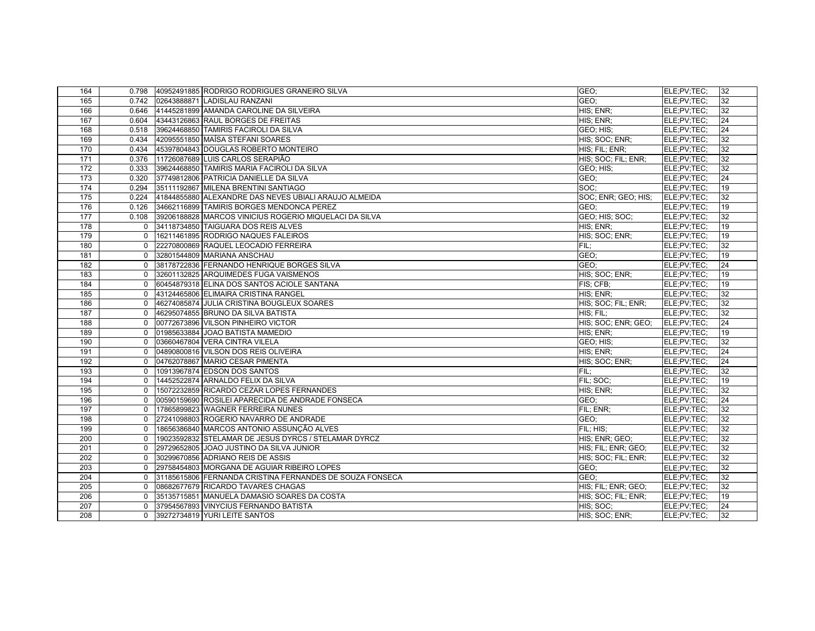| 164 |              | 0.798 40952491885 RODRIGO RODRIGUES GRANEIRO SILVA          | GEO:                | ELE;PV;TEC; | 32 |
|-----|--------------|-------------------------------------------------------------|---------------------|-------------|----|
| 165 | 0.742        | 02643888871 LADISLAU RANZANI                                | GEO:                | ELE;PV;TEC; | 32 |
| 166 |              | 0.646 41445281899 AMANDA CAROLINE DA SILVEIRA               | HIS; ENR;           | ELE:PV:TEC: | 32 |
| 167 | 0.604        | 43443126863 RAUL BORGES DE FREITAS                          | HIS; ENR;           | ELE;PV;TEC; | 24 |
| 168 |              | 0.518 39624468850 TAMIRIS FACIROLI DA SILVA                 | GEO; HIS;           | ELE:PV:TEC: | 24 |
| 169 | 0.434        | 42095551850 MAÍSA STEFANI SOARES                            | HIS; SOC; ENR;      | ELE;PV;TEC; | 32 |
| 170 | 0.434        | 45397804843 DOUGLAS ROBERTO MONTEIRO                        | HIS; FIL; ENR;      | ELE;PV;TEC; | 32 |
| 171 | 0.376        | 11726087689 LUIS CARLOS SERAPIÃO                            | HIS; SOC; FIL; ENR; | ELE:PV:TEC: | 32 |
| 172 | 0.333        | 39624468850 TAMIRIS MARIA FACIROLI DA SILVA                 | GEO; HIS;           | ELE:PV:TEC: | 32 |
| 173 | 0.320        | 37749812806 PATRICIA DANIELLE DA SILVA                      | GEO:                | ELE;PV;TEC; | 24 |
| 174 | 0.294        | 35111192867 MILENA BRENTINI SANTIAGO                        | SOC:                | ELE:PV:TEC: | 19 |
| 175 |              | 0.224 41844855880 ALEXANDRE DAS NEVES UBIALI ARAUJO ALMEIDA | SOC; ENR; GEO; HIS; | ELE:PV:TEC: | 32 |
| 176 | 0.126        | 34662116899 TAMIRIS BORGES MENDONCA PEREZ                   | GEO:                | ELE:PV:TEC: | 19 |
| 177 | 0.108        | 39206188828 MARCOS VINICIUS ROGERIO MIQUELACI DA SILVA      | GEO; HIS; SOC;      | ELE:PV:TEC: | 32 |
| 178 | $\Omega$     | 34118734850 TAIGUARA DOS REIS ALVES                         | HIS: ENR:           | ELE:PV:TEC: | 19 |
| 179 | $\mathbf{0}$ | 16211461895 RODRIGO NAQUES FALEIROS                         | HIS; SOC; ENR;      | ELE;PV;TEC; | 19 |
| 180 | $\Omega$     | 22270800869 RAQUEL LEOCADIO FERREIRA                        | FIL:                | ELE;PV;TEC; | 32 |
| 181 | $\Omega$     | 32801544809 MARIANA ANSCHAU                                 | GEO;                | ELE;PV;TEC; | 19 |
| 182 | $\mathbf 0$  | 38178722836 FERNANDO HENRIQUE BORGES SILVA                  | GEO:                | ELE:PV:TEC: | 24 |
| 183 | $\Omega$     | 32601132825 ARQUIMEDES FUGA VAISMENOS                       | HIS: SOC: ENR:      | ELE;PV;TEC; | 19 |
| 184 | $\Omega$     | 60454879318 ELINA DOS SANTOS ACIOLE SANTANA                 | FIS: CFB:           | ELE;PV;TEC; | 19 |
| 185 | $\mathbf{0}$ | 43124465806 ELIMAIRA CRISTINA RANGEL                        | HIS; ENR;           | ELE;PV;TEC; | 32 |
| 186 | $\Omega$     | 46274085874 JULIA CRISTINA BOUGLEUX SOARES                  | HIS; SOC; FIL; ENR; | ELE;PV;TEC; | 32 |
| 187 | $\mathbf 0$  | 46295074855 BRUNO DA SILVA BATISTA                          | HIS; FIL:           | ELE;PV;TEC; | 32 |
| 188 | $\mathbf 0$  | 00772673896 VILSON PINHEIRO VICTOR                          | HIS; SOC; ENR; GEO; | ELE:PV:TEC: | 24 |
| 189 | $\Omega$     | 01985633884 JOAO BATISTA MAMEDIO                            | HIS; ENR;           | ELE;PV;TEC; | 19 |
| 190 | $\mathbf 0$  | 03660467804 VERA CINTRA VILELA                              | GEO; HIS;           | ELE;PV;TEC; | 32 |
| 191 | $\mathbf 0$  | 04890800816 VILSON DOS REIS OLIVEIRA                        | HIS; ENR;           | ELE:PV:TEC: | 24 |
| 192 | $\Omega$     | 04762078867 MARIO CESAR PIMENTA                             | HIS; SOC; ENR;      | ELE;PV;TEC; | 24 |
| 193 | $\mathbf 0$  | 10913967874 EDSON DOS SANTOS                                | FIL:                | ELE:PV:TEC: | 32 |
| 194 | $\mathbf 0$  | 14452522874 ARNALDO FELIX DA SILVA                          | FIL: SOC:           | ELE:PV:TEC: | 19 |
| 195 | $\Omega$     | 15072232859 RICARDO CEZAR LOPES FERNANDES                   | HIS; ENR;           | ELE;PV;TEC; | 32 |
| 196 | $\mathbf 0$  | 00590159690 ROSILEI APARECIDA DE ANDRADE FONSECA            | GEO:                | ELE;PV;TEC; | 24 |
| 197 | $\Omega$     | 17865899823 WAGNER FERREIRA NUNES                           | FIL; ENR;           | ELE:PV:TEC: | 32 |
| 198 | $\Omega$     | 27241098803 ROGERIO NAVARRO DE ANDRADE                      | GEO:                | ELE;PV;TEC; | 32 |
| 199 | $\mathbf{0}$ | 18656386840 MARCOS ANTONIO ASSUNÇÃO ALVES                   | FIL; HIS;           | ELE;PV;TEC; | 32 |
| 200 | $\Omega$     | 19023592832 STELAMAR DE JESUS DYRCS / STELAMAR DYRCZ        | HIS: ENR: GEO:      | ELE:PV:TEC: | 32 |
| 201 | $\mathbf 0$  | 29729652805 JOAO JUSTINO DA SILVA JUNIOR                    | HIS; FIL; ENR; GEO; | ELE;PV;TEC; | 32 |
| 202 | $\mathbf{0}$ | 30299670856 ADRIANO REIS DE ASSIS                           | HIS; SOC; FIL; ENR; | ELE;PV;TEC; | 32 |
| 203 | $\Omega$     | 29758454803 MORGANA DE AGUIAR RIBEIRO LOPES                 | GEO:                | ELE;PV;TEC; | 32 |
| 204 | $\Omega$     | 31185615806 FERNANDA CRISTINA FERNANDES DE SOUZA FONSECA    | GEO:                | ELE:PV:TEC: | 32 |
| 205 | $\mathbf{0}$ | 08682677679 RICARDO TAVARES CHAGAS                          | HIS; FIL; ENR; GEO; | ELE;PV;TEC; | 32 |
| 206 | $\Omega$     | 35135715851 MANUELA DAMASIO SOARES DA COSTA                 | HIS; SOC; FIL; ENR; | ELE:PV:TEC: | 19 |
| 207 | $\Omega$     | 37954567893 VINYCIUS FERNANDO BATISTA                       | HIS: SOC:           | ELE:PV:TEC: | 24 |
| 208 | $\Omega$     | 39272734819 YURI LEITE SANTOS                               | HIS; SOC; ENR;      | ELE;PV;TEC; | 32 |